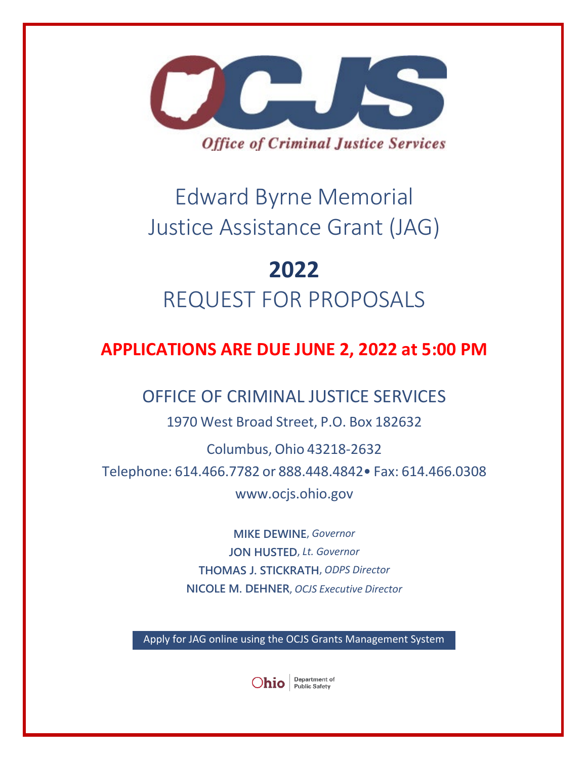

# Edward Byrne Memorial Justice Assistance Grant (JAG)

# **2022** REQUEST FOR PROPOSALS

# **APPLICATIONS ARE DUE JUNE 2, 2022 at 5:00 PM**

# OFFICE OF CRIMINAL JUSTICE SERVICES

1970 West Broad Street, P.O. Box 182632

Columbus, Ohio 43218-2632 Telephone: 614.466.7782 or 888.448.4842• Fax: 614.466.0308 [www.ocjs.ohio.gov](http://www.ocjs.ohio.gov/)

> **MIKE DEWINE**, *Governor* **JON HUSTED**, *Lt. Governor* **THOMAS J. STICKRATH**, *ODPS Director* **NICOLE M. DEHNER**, *OCJS Executive Director*

Apply for JAG online using the OCJS Grants Management System

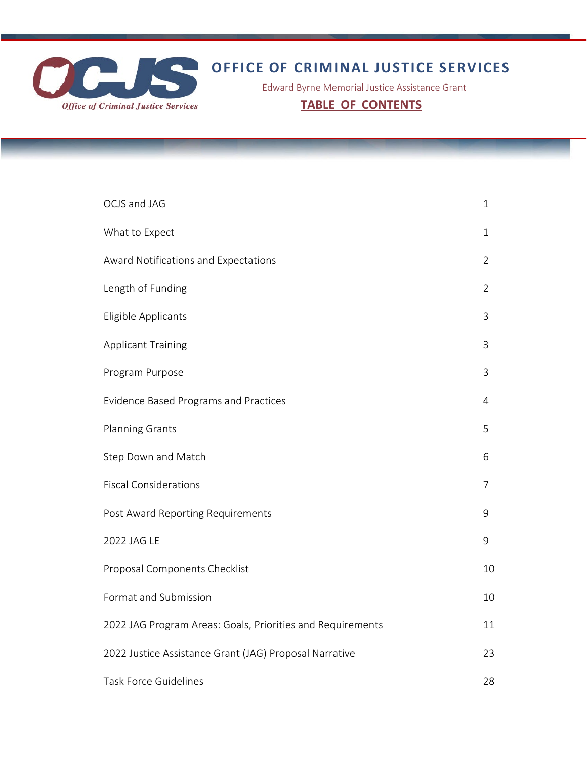

# **OFFICE OF CRIMINAL JUSTICE SERVICES**

Edward Byrne Memorial Justice Assistance Grant

**TABLE OF CONTENTS**

| OCJS and JAG                                               | $\mathbf{1}$   |
|------------------------------------------------------------|----------------|
| What to Expect                                             | 1              |
| Award Notifications and Expectations                       | $\overline{2}$ |
| Length of Funding                                          | $\overline{2}$ |
| Eligible Applicants                                        | 3              |
| <b>Applicant Training</b>                                  | 3              |
| Program Purpose                                            | 3              |
| <b>Evidence Based Programs and Practices</b>               | 4              |
| <b>Planning Grants</b>                                     | 5              |
| Step Down and Match                                        | 6              |
| <b>Fiscal Considerations</b>                               | $\overline{7}$ |
| Post Award Reporting Requirements                          | 9              |
| 2022 JAG LE                                                | 9              |
| Proposal Components Checklist                              | 10             |
| Format and Submission                                      | 10             |
| 2022 JAG Program Areas: Goals, Priorities and Requirements | 11             |
| 2022 Justice Assistance Grant (JAG) Proposal Narrative     | 23             |
| <b>Task Force Guidelines</b>                               | 28             |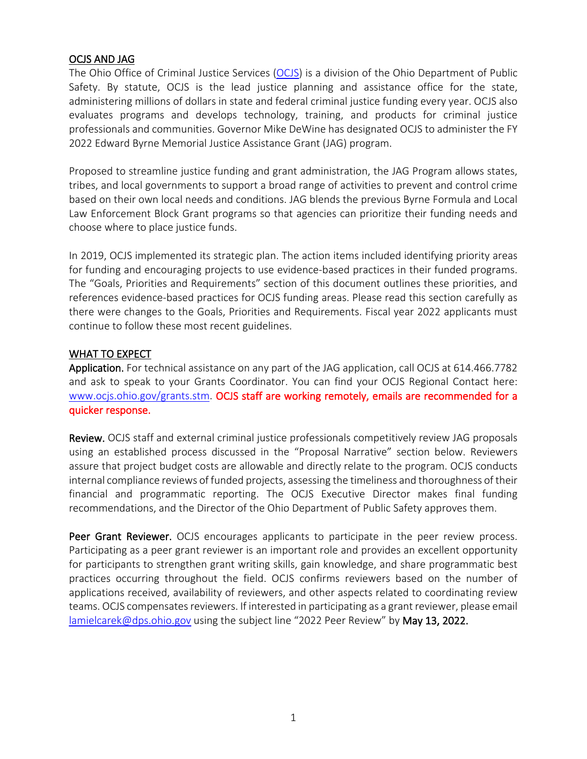#### OCJS AND JAG

The Ohio Office of Criminal Justice Services [\(OCJS\)](https://www.ocjs.ohio.gov/index.stm) is a division of the Ohio Department of Public Safety. By statute, OCJS is the lead justice planning and assistance office for the state, administering millions of dollars in state and federal criminal justice funding every year. OCJS also evaluates programs and develops technology, training, and products for criminal justice professionals and communities. Governor Mike DeWine has designated OCJS to administer the FY 2022 Edward Byrne Memorial Justice Assistance Grant (JAG) program.

Proposed to streamline justice funding and grant administration, the JAG Program allows states, tribes, and local governments to support a broad range of activities to prevent and control crime based on their own local needs and conditions. JAG blends the previous Byrne Formula and Local Law Enforcement Block Grant programs so that agencies can prioritize their funding needs and choose where to place justice funds.

In 2019, OCJS implemented its strategic plan. The action items included identifying priority areas for funding and encouraging projects to use evidence-based practices in their funded programs. The "Goals, Priorities and Requirements" section of this document outlines these priorities, and references evidence-based practices for OCJS funding areas. Please read this section carefully as there were changes to the Goals, Priorities and Requirements. Fiscal year 2022 applicants must continue to follow these most recent guidelines.

#### WHAT TO EXPECT

Application. For technical assistance on any part of the JAG application, call OCJS at 614.466.7782 and ask to speak to your Grants Coordinator. You can find your OCJS Regional Contact here: [www.ocjs.ohio.gov/grants.stm.](http://www.ocjs.ohio.gov/grants.stm) OCJS staff are working remotely, emails are recommended for a quicker response.

Review. OCJS staff and external criminal justice professionals competitively review JAG proposals using an established process discussed in the "Proposal Narrative" section below. Reviewers assure that project budget costs are allowable and directly relate to the program. OCJS conducts internal compliance reviews of funded projects, assessing the timeliness and thoroughness of their financial and programmatic reporting. The OCJS Executive Director makes final funding recommendations, and the Director of the Ohio Department of Public Safety approves them.

Peer Grant Reviewer. OCJS encourages applicants to participate in the peer review process. Participating as a peer grant reviewer is an important role and provides an excellent opportunity for participants to strengthen grant writing skills, gain knowledge, and share programmatic best practices occurring throughout the field. OCJS confirms reviewers based on the number of applications received, availability of reviewers, and other aspects related to coordinating review teams. OCJS compensates reviewers. If interested in participating as a grant reviewer, please email [lamielcarek@dps.ohio.gov](mailto:lamielcarek@dps.ohio.gov) using the subject line "2022 Peer Review" by May 13, 2022.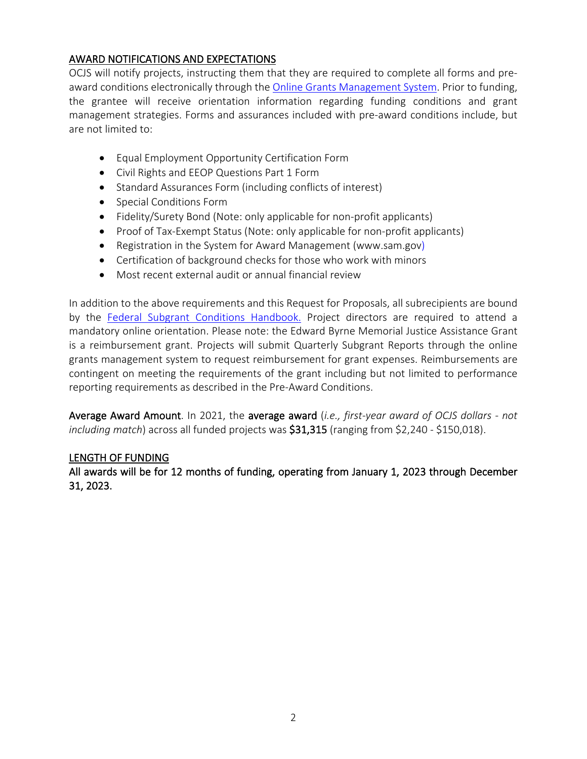# AWARD NOTIFICATIONS AND EXPECTATIONS

OCJS will notify projects, instructing them that they are required to complete all forms and pre-award conditions electronically through the [Online Grants Management System.](https://www.ocjsgrants.com/) Prior to funding, the grantee will receive orientation information regarding funding conditions and grant management strategies. Forms and assurances included with pre-award conditions include, but are not limited to:

- Equal Employment Opportunity Certification Form
- Civil Rights and EEOP Questions Part 1 Form
- Standard Assurances Form (including conflicts of interest)
- Special Conditions Form
- Fidelity/Surety Bond (Note: only applicable for non-profit applicants)
- Proof of Tax-Exempt Status (Note: only applicable for non-profit applicants)
- Registration in the System for Award Management [\(www.sam.gov\)](https://www.sam.gov/)
- Certification of background checks for those who work with minors
- Most recent external audit or annual financial review

In addition to the above requirements and this Request for Proposals, all subrecipients are bound by the [Federal Subgrant Conditions Handbook.](https://www.ocjs.ohio.gov/Standard_Fed_Subgrant_Conditions.pdf) Project directors are required to attend a mandatory online orientation. Please note: the Edward Byrne Memorial Justice Assistance Grant is a reimbursement grant. Projects will submit Quarterly Subgrant Reports through the online grants management system to request reimbursement for grant expenses. Reimbursements are contingent on meeting the requirements of the grant including but not limited to performance reporting requirements as described in the Pre-Award Conditions.

Average Award Amount. In 2021, the average award (*i.e., first-year award of OCJS dollars - not including match*) across all funded projects was \$31,315 (ranging from \$2,240 - \$150,018).

#### LENGTH OF FUNDING

All awards will be for 12 months of funding, operating from January 1, 2023 through December 31, 2023.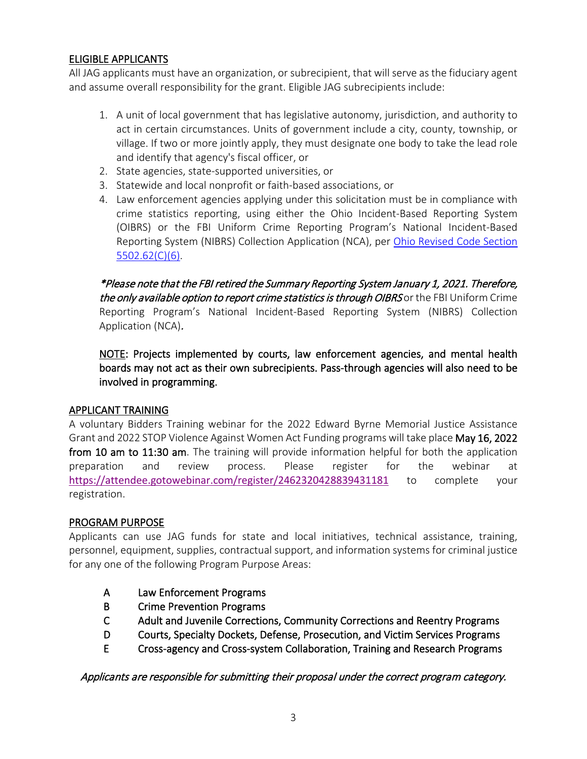# ELIGIBLE APPLICANTS

All JAG applicants must have an organization, or subrecipient, that will serve as the fiduciary agent and assume overall responsibility for the grant. Eligible JAG subrecipients include:

- 1. A unit of local government that has legislative autonomy, jurisdiction, and authority to act in certain circumstances. Units of government include a city, county, township, or village. If two or more jointly apply, they must designate one body to take the lead role and identify that agency's fiscal officer, or
- 2. State agencies, state-supported universities, or
- 3. Statewide and local nonprofit or faith-based associations, or
- 4. Law enforcement agencies applying under this solicitation must be in compliance with crime statistics reporting, using either the Ohio Incident-Based Reporting System (OIBRS) or the FBI Uniform Crime Reporting Program's National Incident-Based Reporting System (NIBRS) Collection Application (NCA), per [Ohio Revised Code Section](http://codes.ohio.gov/orc/5502.62)  [5502.62\(C\)\(6\).](http://codes.ohio.gov/orc/5502.62)

\*Please note that the FBI retired the Summary Reporting System January 1, 2021. Therefore, the only available option to report crime statistics is through OIBRS or the FBI Uniform Crime Reporting Program's National Incident-Based Reporting System (NIBRS) Collection Application (NCA).

NOTE: Projects implemented by courts, law enforcement agencies, and mental health boards may not act as their own subrecipients. Pass-through agencies will also need to be involved in programming.

#### APPLICANT TRAINING

A voluntary Bidders Training webinar for the 2022 Edward Byrne Memorial Justice Assistance Grant and 2022 STOP Violence Against Women Act Funding programs will take place May 16, 2022 from 10 am to 11:30 am. The training will provide information helpful for both the application preparation and review process. Please register for the webinar at [https://attendee.gotowebinar.com/register/2462320428839431181](https://gcc02.safelinks.protection.outlook.com/?url=https%3A%2F%2Fattendee.gotowebinar.com%2Fregister%2F2462320428839431181&data=04%7C01%7Clamielcarek%40dps.ohio.gov%7Cdc6aa32c824f4098968908da1bbd5af3%7C50f8fcc494d84f0784eb36ed57c7c8a2%7C0%7C0%7C637852797334335470%7CUnknown%7CTWFpbGZsb3d8eyJWIjoiMC4wLjAwMDAiLCJQIjoiV2luMzIiLCJBTiI6Ik1haWwiLCJXVCI6Mn0%3D%7C3000&sdata=DmNo7Z6JEuvkXKmo6yElO51nO0uiVzpCdA4G7HU0mOo%3D&reserved=0) to complete your registration.

#### PROGRAM PURPOSE

Applicants can use JAG funds for state and local initiatives, technical assistance, training, personnel, equipment, supplies, contractual support, and information systems for criminal justice for any one of the following Program Purpose Areas:

- A Law Enforcement Programs
- B Crime Prevention Programs
- C Adult and Juvenile Corrections, Community Corrections and Reentry Programs
- D Courts, Specialty Dockets, Defense, Prosecution, and Victim Services Programs
- E Cross-agency and Cross-system Collaboration, Training and Research Programs

Applicants are responsible for submitting their proposal under the correct program category.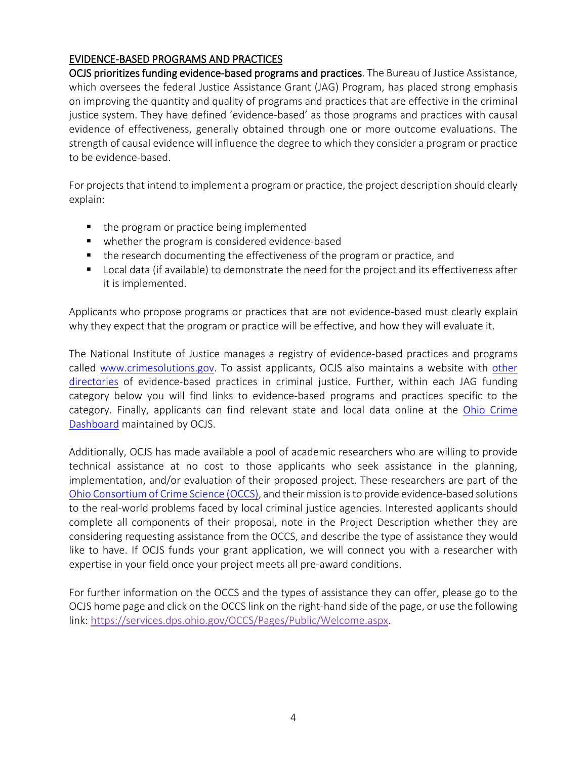# EVIDENCE-BASED PROGRAMS AND PRACTICES

OCJS prioritizes funding evidence-based programs and practices. The Bureau of Justice Assistance, which oversees the federal Justice Assistance Grant (JAG) Program, has placed strong emphasis on improving the quantity and quality of programs and practices that are effective in the criminal justice system. They have defined 'evidence-based' as those programs and practices with causal evidence of effectiveness, generally obtained through one or more outcome evaluations. The strength of causal evidence will influence the degree to which they consider a program or practice to be evidence-based.

For projects that intend to implement a program or practice, the project description should clearly explain:

- the program or practice being implemented
- whether the program is considered evidence-based
- the research documenting the effectiveness of the program or practice, and
- Local data (if available) to demonstrate the need for the project and its effectiveness after it is implemented.

Applicants who propose programs or practices that are not evidence-based must clearly explain why they expect that the program or practice will be effective, and how they will evaluate it.

The National Institute of Justice manages a registry of evidence-based practices and programs called [www.crimesolutions.gov.](http://www.crimesolutions.gov/) To assist applicants, OCJS also maintains a website with other [directories](http://www.ocjs.ohio.gov/ebp.stm) of evidence-based practices in criminal justice. Further, within each JAG funding category below you will find links to evidence-based programs and practices specific to the category. Finally, applicants can find relevant state and local data online at the [Ohio Crime](https://www.ocjs.ohio.gov/v-c_crime.stm) [Dashboard](https://www.ocjs.ohio.gov/v-c_crime.stm) maintained by OCJS.

Additionally, OCJS has made available a pool of academic researchers who are willing to provide technical assistance at no cost to those applicants who seek assistance in the planning, implementation, and/or evaluation of their proposed project. These researchers are part of the [Ohio Consortium of Crime Science \(OCCS\),](https://services.dps.ohio.gov/OCCS/Pages/Public/Welcome.aspx) and their mission is to provide evidence-based solutions to the real-world problems faced by local criminal justice agencies. Interested applicants should complete all components of their proposal, note in the Project Description whether they are considering requesting assistance from the OCCS, and describe the type of assistance they would like to have. If OCJS funds your grant application, we will connect you with a researcher with expertise in your field once your project meets all pre-award conditions.

For further information on the OCCS and the types of assistance they can offer, please go to the OCJS home page and click on the OCCS link on the right-hand side of the page, or use the following link: [https://services.dps.ohio.gov/OCCS/Pages/Public/Welcome.aspx.](https://services.dps.ohio.gov/OCCS/Pages/Public/Welcome.aspx)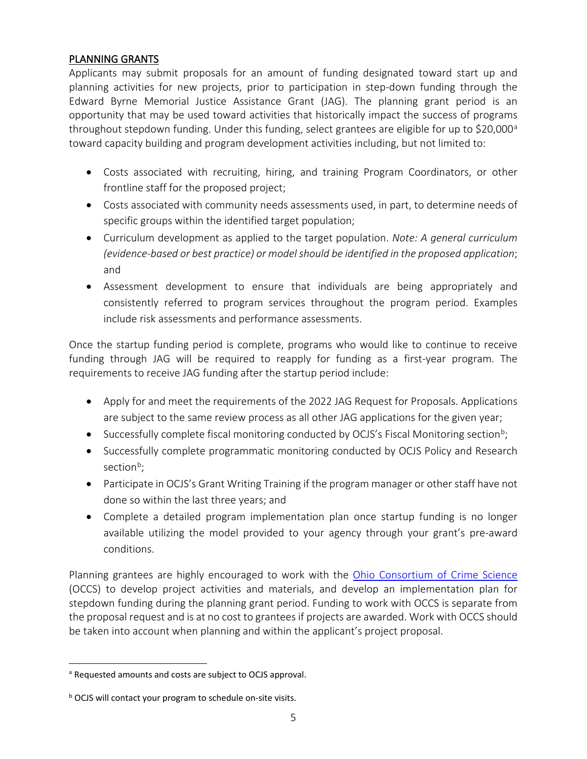# PLANNING GRANTS

Applicants may submit proposals for an amount of funding designated toward start up and planning activities for new projects, prior to participation in step-down funding through the Edward Byrne Memorial Justice Assistance Grant (JAG). The planning grant period is an opportunity that may be used toward activities that historically impact the success of programs throughout stepdown funding. Under this funding, select gr[a](#page-6-0)ntees are eligible for up to \$20,000<sup>a</sup> toward capacity building and program development activities including, but not limited to:

- Costs associated with recruiting, hiring, and training Program Coordinators, or other frontline staff for the proposed project;
- Costs associated with community needs assessments used, in part, to determine needs of specific groups within the identified target population;
- Curriculum development as applied to the target population. *Note: A general curriculum (evidence-based or best practice) or model should be identified in the proposed application*; and
- Assessment development to ensure that individuals are being appropriately and consistently referred to program services throughout the program period. Examples include risk assessments and performance assessments.

Once the startup funding period is complete, programs who would like to continue to receive funding through JAG will be required to reapply for funding as a first-year program. The requirements to receive JAG funding after the startup period include:

- Apply for and meet the requirements of the 2022 JAG Request for Proposals. Applications are subject to the same review process as all other JAG applications for the given year;
- Successfully complete fiscal monitoring conducted by OCJS's Fiscal Monitoring section<sup>b</sup>;
- Successfully complete programmatic monitoring conducted by OCJS Policy and Research section<sup>[b](#page-6-2)</sup>;
- Participate in OCJS's Grant Writing Training if the program manager or other staff have not done so within the last three years; and
- Complete a detailed program implementation plan once startup funding is no longer available utilizing the model provided to your agency through your grant's pre-award conditions.

Planning grantees are highly encouraged to work with the [Ohio Consortium of Crime Science](https://services.dps.ohio.gov/OCCS/Pages/Public/Welcome.aspx) (OCCS) to develop project activities and materials, and develop an implementation plan for stepdown funding during the planning grant period. Funding to work with OCCS is separate from the proposal request and is at no cost to grantees if projects are awarded. Work with OCCS should be taken into account when planning and within the applicant's project proposal.

<span id="page-6-1"></span><span id="page-6-0"></span>a Requested amounts and costs are subject to OCJS approval.

<span id="page-6-2"></span>**b** OCJS will contact your program to schedule on-site visits.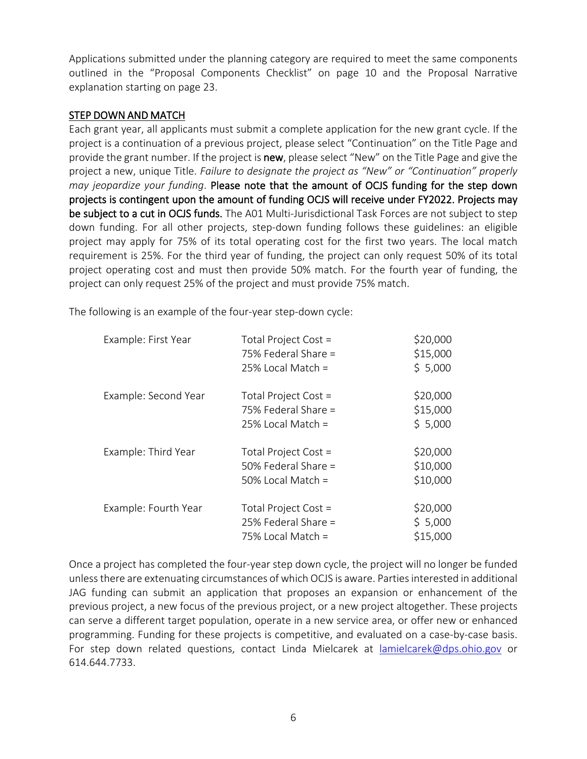Applications submitted under the planning category are required to meet the same components outlined in the "Proposal Components Checklist" on page 10 and the Proposal Narrative explanation starting on page 23.

#### STEP DOWN AND MATCH

Each grant year, all applicants must submit a complete application for the new grant cycle. If the project is a continuation of a previous project, please select "Continuation" on the Title Page and provide the grant number. If the project is new, please select "New" on the Title Page and give the project a new, unique Title. *Failure to designate the project as "New" or "Continuation" properly may jeopardize your funding*. Please note that the amount of OCJS funding for the step down projects is contingent upon the amount of funding OCJS will receive under FY2022. Projects may be subject to a cut in OCJS funds. The A01 Multi-Jurisdictional Task Forces are not subject to step down funding. For all other projects, step-down funding follows these guidelines: an eligible project may apply for 75% of its total operating cost for the first two years. The local match requirement is 25%. For the third year of funding, the project can only request 50% of its total project operating cost and must then provide 50% match. For the fourth year of funding, the project can only request 25% of the project and must provide 75% match.

The following is an example of the four-year step-down cycle:

| Example: First Year  | Total Project Cost =<br>75% Federal Share =<br>$25\%$ Local Match = | \$20,000<br>\$15,000<br>\$5,000  |
|----------------------|---------------------------------------------------------------------|----------------------------------|
| Example: Second Year | Total Project Cost =<br>75% Federal Share =<br>$25\%$ Local Match = | \$20,000<br>\$15,000<br>\$5,000  |
| Example: Third Year  | Total Project Cost =<br>50% Federal Share =<br>50% Local Match =    | \$20,000<br>\$10,000<br>\$10,000 |
| Example: Fourth Year | Total Project Cost =<br>25% Federal Share =<br>75% Local Match =    | \$20,000<br>\$5,000<br>\$15,000  |

Once a project has completed the four-year step down cycle, the project will no longer be funded unless there are extenuating circumstances of which OCJS is aware. Parties interested in additional JAG funding can submit an application that proposes an expansion or enhancement of the previous project, a new focus of the previous project, or a new project altogether. These projects can serve a different target population, operate in a new service area, or offer new or enhanced programming. Funding for these projects is competitive, and evaluated on a case-by-case basis. For step down related questions, contact Linda Mielcarek at [lamielcarek@dps.ohio.gov](mailto:lamielcarek@dps.ohio.gov) or 614.644.7733.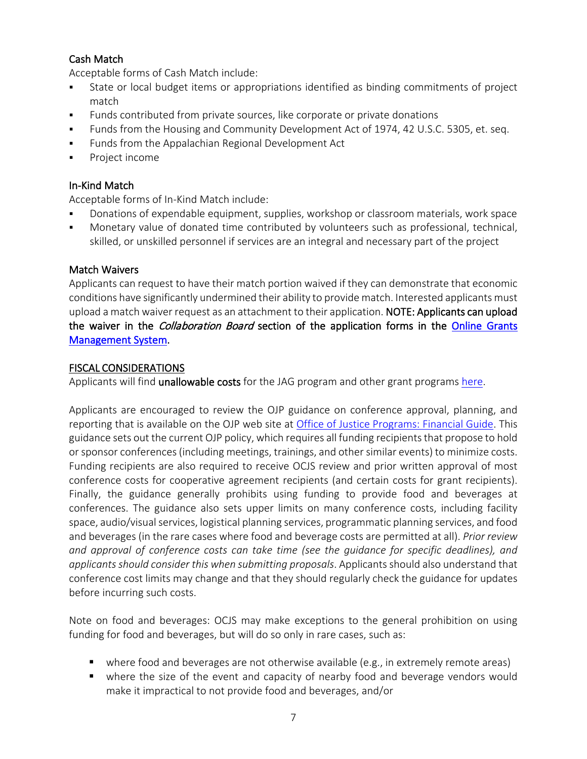# Cash Match

Acceptable forms of Cash Match include:

- State or local budget items or appropriations identified as binding commitments of project match
- Funds contributed from private sources, like corporate or private donations
- Funds from the Housing and Community Development Act of 1974, 42 U.S.C. 5305, et. seq.
- **Funds from the Appalachian Regional Development Act**
- **Project income**

# In-Kind Match

Acceptable forms of In-Kind Match include:

- Donations of expendable equipment, supplies, workshop or classroom materials, work space
- Monetary value of donated time contributed by volunteers such as professional, technical, skilled, or unskilled personnel if services are an integral and necessary part of the project

#### Match Waivers

Applicants can request to have their match portion waived if they can demonstrate that economic conditions have significantly undermined their ability to provide match. Interested applicants must upload a match waiver request as an attachment to their application. NOTE: Applicants can upload the waiver in the *Collaboration Board* section of the application forms in the Online Grants [Management System.](http://www.ocjsgrants.com/)

#### FISCAL CONSIDERATIONS

Applicants will find unallowable costs for the JAG program and other grant programs [here.](http://www.ocjs.ohio.gov/ocjs_grants_unallowable_costs.pdf)

Applicants are encouraged to review the OJP guidance on conference approval, planning, and reporting that is available on the OJP web site at [Office of Justice Programs: Financial Guide.](http://ojp.gov/financialguide/PostawardRequirements/chapter15page1.htm) This guidance sets out the current OJP policy, which requires all funding recipients that propose to hold or sponsor conferences (including meetings, trainings, and other similar events) to minimize costs. Funding recipients are also required to receive OCJS review and prior written approval of most conference costs for cooperative agreement recipients (and certain costs for grant recipients). Finally, the guidance generally prohibits using funding to provide food and beverages at conferences. The guidance also sets upper limits on many conference costs, including facility space, audio/visual services, logistical planning services, programmatic planning services, and food and beverages (in the rare cases where food and beverage costs are permitted at all). *Prior review and approval of conference costs can take time (see the guidance for specific deadlines), and applicants should consider this when submitting proposals*. Applicants should also understand that conference cost limits may change and that they should regularly check the guidance for updates before incurring such costs.

Note on food and beverages: OCJS may make exceptions to the general prohibition on using funding for food and beverages, but will do so only in rare cases, such as:

- where food and beverages are not otherwise available (e.g., in extremely remote areas)
- where the size of the event and capacity of nearby food and beverage vendors would make it impractical to not provide food and beverages, and/or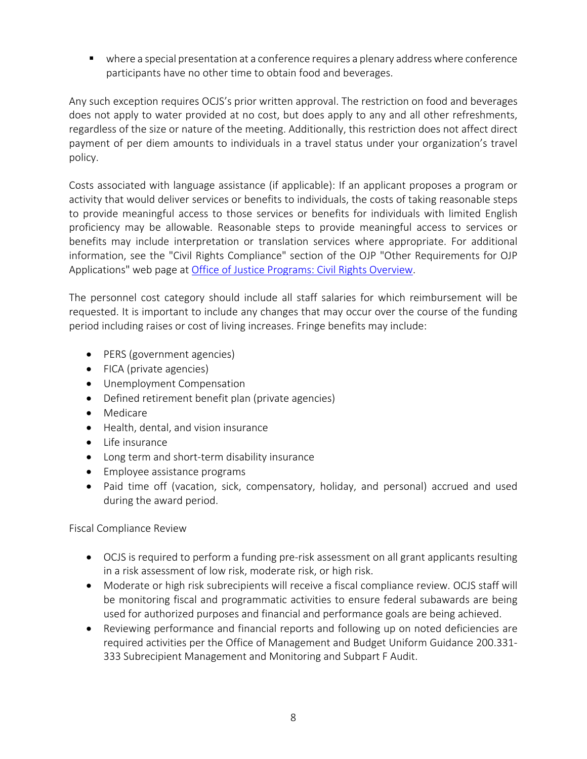where a special presentation at a conference requires a plenary address where conference participants have no other time to obtain food and beverages.

Any such exception requires OCJS's prior written approval. The restriction on food and beverages does not apply to water provided at no cost, but does apply to any and all other refreshments, regardless of the size or nature of the meeting. Additionally, this restriction does not affect direct payment of per diem amounts to individuals in a travel status under your organization's travel policy.

Costs associated with language assistance (if applicable): If an applicant proposes a program or activity that would deliver services or benefits to individuals, the costs of taking reasonable steps to provide meaningful access to those services or benefits for individuals with limited English proficiency may be allowable. Reasonable steps to provide meaningful access to services or benefits may include interpretation or translation services where appropriate. For additional information, see the "Civil Rights Compliance" section of the OJP "Other Requirements for OJP Applications" web page at [Office of Justice Programs: Civil Rights Overview.](https://www.ojp.gov/program/civil-rights/overview)

The personnel cost category should include all staff salaries for which reimbursement will be requested. It is important to include any changes that may occur over the course of the funding period including raises or cost of living increases. Fringe benefits may include:

- PERS (government agencies)
- FICA (private agencies)
- Unemployment Compensation
- Defined retirement benefit plan (private agencies)
- Medicare
- Health, dental, and vision insurance
- Life insurance
- Long term and short-term disability insurance
- Employee assistance programs
- Paid time off (vacation, sick, compensatory, holiday, and personal) accrued and used during the award period.

Fiscal Compliance Review

- OCJS is required to perform a funding pre-risk assessment on all grant applicants resulting in a risk assessment of low risk, moderate risk, or high risk.
- Moderate or high risk subrecipients will receive a fiscal compliance review. OCJS staff will be monitoring fiscal and programmatic activities to ensure federal subawards are being used for authorized purposes and financial and performance goals are being achieved.
- Reviewing performance and financial reports and following up on noted deficiencies are required activities per the Office of Management and Budget Uniform Guidance 200.331- 333 Subrecipient Management and Monitoring and Subpart F Audit.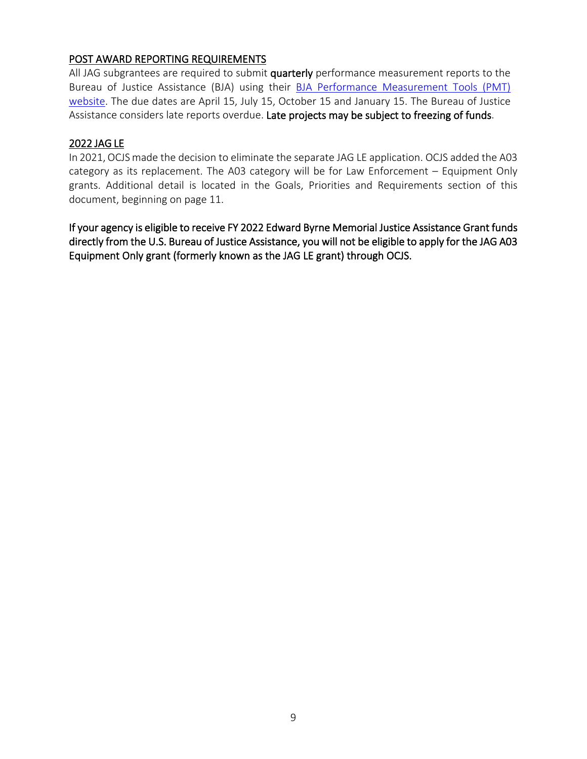# POST AWARD REPORTING REQUIREMENTS

All JAG subgrantees are required to submit quarterly performance measurement reports to the Bureau of Justice Assistance (BJA) using their [BJA Performance Measurement Tools \(PMT\)](https://bjapmt.ojp.gov/)  [website.](https://bjapmt.ojp.gov/) The due dates are April 15, July 15, October 15 and January 15. The Bureau of Justice Assistance considers late reports overdue. Late projects may be subject to freezing of funds.

#### 2022 JAG LE

In 2021, OCJS made the decision to eliminate the separate JAG LE application. OCJS added the A03 category as its replacement. The A03 category will be for Law Enforcement – Equipment Only grants. Additional detail is located in the Goals, Priorities and Requirements section of this document, beginning on page 11.

If your agency is eligible to receive FY 2022 Edward Byrne Memorial Justice Assistance Grant funds directly from the U.S. Bureau of Justice Assistance, you will not be eligible to apply for the JAG A03 Equipment Only grant (formerly known as the JAG LE grant) through OCJS.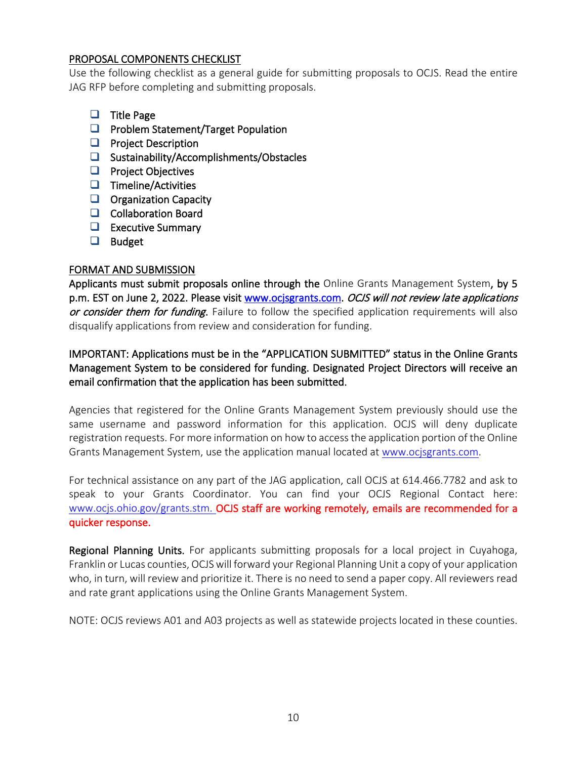#### PROPOSAL COMPONENTS CHECKLIST

Use the following checklist as a general guide for submitting proposals to OCJS. Read the entire JAG RFP before completing and submitting proposals.

- $\Box$  Title Page
- $\Box$  Problem Statement/Target Population
- $\Box$  Project Description
- $\Box$  Sustainability/Accomplishments/Obstacles
- $\Box$  Project Objectives
- $\Box$  Timeline/Activities
- $\Box$  Organization Capacity
- Collaboration Board
- $\Box$  Executive Summary
- **D** Budget

#### FORMAT AND SUBMISSION

Applicants must submit proposals online through the Online Grants Management System, by 5 p.m. EST on June 2, 2022. Please visit [www.ocjsgrants.com.](http://www.ocjsgrants.com/) OCJS will not review late applications or consider them for funding. Failure to follow the specified application requirements will also disqualify applications from review and consideration for funding.

IMPORTANT: Applications must be in the "APPLICATION SUBMITTED" status in the Online Grants Management System to be considered for funding. Designated Project Directors will receive an email confirmation that the application has been submitted.

Agencies that registered for the Online Grants Management System previously should use the same username and password information for this application. OCJS will deny duplicate registration requests. For more information on how to access the application portion of the Online Grants Management System, use the application manual located at [www.ocjsgrants.com.](http://www.ocjsgrants.com/)

For technical assistance on any part of the JAG application, call OCJS at 614.466.7782 and ask to speak to your Grants Coordinator. You can find your OCJS Regional Contact here: [www.ocjs.ohio.gov/grants.stm.](http://www.ocjs.ohio.gov/grants.stm) OCJS staff are working remotely, emails are recommended for a quicker response.

Regional Planning Units. For applicants submitting proposals for a local project in Cuyahoga, Franklin or Lucas counties, OCJS will forward your Regional Planning Unit a copy of your application who, in turn, will review and prioritize it. There is no need to send a paper copy. All reviewers read and rate grant applications using the Online Grants Management System.

NOTE: OCJS reviews A01 and A03 projects as well as statewide projects located in these counties.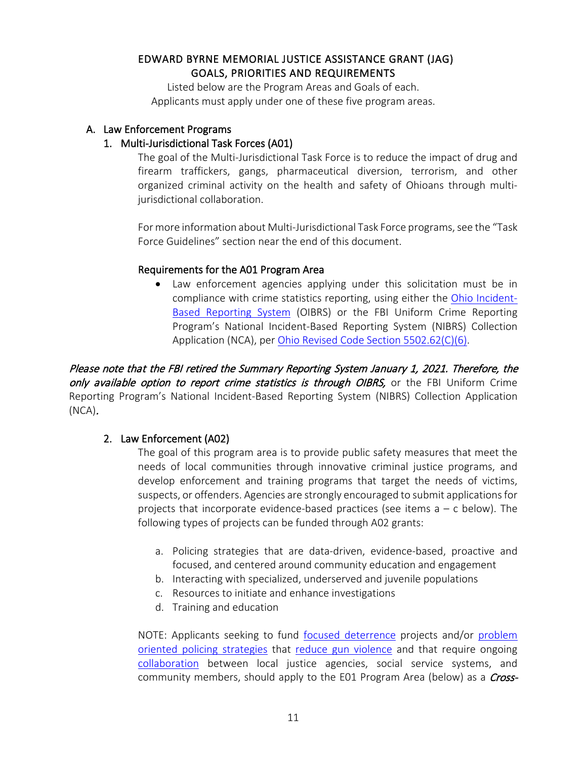# EDWARD BYRNE MEMORIAL JUSTICE ASSISTANCE GRANT (JAG) GOALS, PRIORITIES AND REQUIREMENTS

Listed below are the Program Areas and Goals of each. Applicants must apply under one of these five program areas.

#### A. Law Enforcement Programs

#### 1. Multi-Jurisdictional Task Forces (A01)

The goal of the Multi-Jurisdictional Task Force is to reduce the impact of drug and firearm traffickers, gangs, pharmaceutical diversion, terrorism, and other organized criminal activity on the health and safety of Ohioans through multijurisdictional collaboration.

For more information about Multi-Jurisdictional Task Force programs, see the "Task Force Guidelines" section near the end of this document.

#### Requirements for the A01 Program Area

• Law enforcement agencies applying under this solicitation must be in compliance with crime statistics reporting, using either the [Ohio Incident-](https://ocjs.ohio.gov/oibrs/index.aspx)[Based Reporting System](https://ocjs.ohio.gov/oibrs/index.aspx) (OIBRS) or the FBI Uniform Crime Reporting Program's National Incident-Based Reporting System (NIBRS) Collection Application (NCA), per [Ohio Revised Code Section 5502.62\(C\)\(6\).](http://codes.ohio.gov/orc/5502.62)

Please note that the FBI retired the Summary Reporting System January 1, 2021. Therefore, the only available option to report crime statistics is through OIBRS, or the FBI Uniform Crime Reporting Program's National Incident-Based Reporting System (NIBRS) Collection Application (NCA).

#### 2. Law Enforcement (A02)

The goal of this program area is to provide public safety measures that meet the needs of local communities through innovative criminal justice programs, and develop enforcement and training programs that target the needs of victims, suspects, or offenders. Agencies are strongly encouraged to submit applications for projects that incorporate evidence-based practices (see items a – c below). The following types of projects can be funded through A02 grants:

- a. Policing strategies that are data-driven, evidence-based, proactive and focused, and centered around community education and engagement
- b. Interacting with specialized, underserved and juvenile populations
- c. Resources to initiate and enhance investigations
- d. Training and education

NOTE: Applicants seeking to fund [focused deterrence](https://www.crimesolutions.gov/PracticeDetails.aspx?ID=11) projects and/or [problem](https://www.crimesolutions.gov/PracticeDetails.aspx?ID=32)  [oriented policing strategies](https://www.crimesolutions.gov/PracticeDetails.aspx?ID=32) that [reduce gun violence](https://www.crimesolutions.gov/PracticeDetails.aspx?ID=33) and that require ongoing [collaboration](https://www.preventioninstitute.org/sites/default/files/uploads/Collaborative%20Effectiveness%20Assessment%20Activity.pdf) between local justice agencies, social service systems, and community members, should apply to the E01 Program Area (below) as a *Cross-*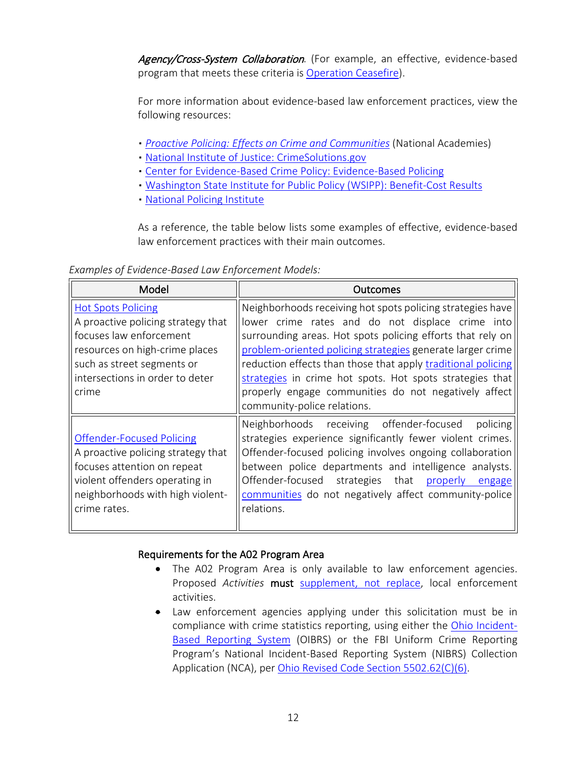Agency/Cross-System Collaboration. (For example, an effective, evidence-based program that meets these criteria is [Operation Ceasefire\)](https://www.crimesolutions.gov/ProgramDetails.aspx?ID=207).

For more information about evidence-based law enforcement practices, view the following resources:

- *[Proactive Policing: Effects on Crime and Communities](https://www.nap.edu/catalog/24928/proactive-policing-effects-on-crime-and-communities)* (National Academies)
- [National Institute of Justice: CrimeSolutions.gov](https://crimesolutions.ojp.gov/)
- **[Center for Evidence-Based Crime Policy: Evidence-Based Policing](http://cebcp.org/evidence-based-policing/)**
- [Washington State Institute for Public Policy \(WSIPP\): Benefit-Cost Results](http://www.wsipp.wa.gov/BenefitCost)
- [National Policing Institute](https://www.policinginstitute.org/)

As a reference, the table below lists some examples of effective, evidence-based law enforcement practices with their main outcomes.

*Examples of Evidence-Based Law Enforcement Models:*

| Model                                                                                                                                                                                                  | Outcomes                                                                                                                                                                                                                                                                                                                                                                                                                                                      |
|--------------------------------------------------------------------------------------------------------------------------------------------------------------------------------------------------------|---------------------------------------------------------------------------------------------------------------------------------------------------------------------------------------------------------------------------------------------------------------------------------------------------------------------------------------------------------------------------------------------------------------------------------------------------------------|
| <b>Hot Spots Policing</b><br>A proactive policing strategy that<br>focuses law enforcement<br>resources on high-crime places<br>such as street segments or<br>intersections in order to deter<br>crime | Neighborhoods receiving hot spots policing strategies have<br>lower crime rates and do not displace crime into<br>surrounding areas. Hot spots policing efforts that rely on<br>problem-oriented policing strategies generate larger crime<br>reduction effects than those that apply traditional policing<br>strategies in crime hot spots. Hot spots strategies that<br>properly engage communities do not negatively affect<br>community-police relations. |
| <b>Offender-Focused Policing</b><br>A proactive policing strategy that<br>focuses attention on repeat<br>violent offenders operating in<br>neighborhoods with high violent-<br>crime rates.            | Neighborhoods receiving offender-focused<br>policing<br>strategies experience significantly fewer violent crimes.<br>Offender-focused policing involves ongoing collaboration<br>between police departments and intelligence analysts.<br>Offender-focused strategies that properly engage<br>communities do not negatively affect community-police<br>relations.                                                                                             |

#### Requirements for the A02 Program Area

- The A02 Program Area is only available to law enforcement agencies. Proposed *Activities* must [supplement, not replace,](https://ojp.gov/grants101/definitions.htm) local enforcement activities.
- Law enforcement agencies applying under this solicitation must be in compliance with crime statistics reporting, using either the [Ohio Incident-](http://ocjs.ohio.gov/oibrs/)[Based Reporting System](http://ocjs.ohio.gov/oibrs/) (OIBRS) or the FBI Uniform Crime Reporting Program's National Incident-Based Reporting System (NIBRS) Collection Application (NCA), per [Ohio Revised Code Section 5502.62\(C\)\(6\).](http://codes.ohio.gov/orc/5502.62)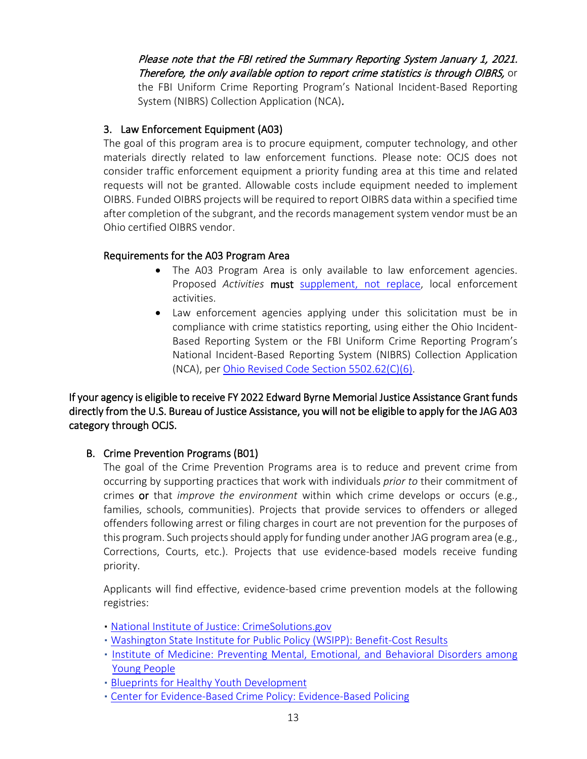Please note that the FBI retired the Summary Reporting System January 1, 2021. Therefore, the only available option to report crime statistics is through OIBRS, or the FBI Uniform Crime Reporting Program's National Incident-Based Reporting System (NIBRS) Collection Application (NCA).

# 3. Law Enforcement Equipment (A03)

The goal of this program area is to procure equipment, computer technology, and other materials directly related to law enforcement functions. Please note: OCJS does not consider traffic enforcement equipment a priority funding area at this time and related requests will not be granted. Allowable costs include equipment needed to implement OIBRS. Funded OIBRS projects will be required to report OIBRS data within a specified time after completion of the subgrant, and the records management system vendor must be an Ohio certified OIBRS vendor.

# Requirements for the A03 Program Area

- The A03 Program Area is only available to law enforcement agencies. Proposed *Activities* must [supplement, not replace,](https://ojp.gov/grants101/definitions.htm) local enforcement activities.
- Law enforcement agencies applying under this solicitation must be in compliance with crime statistics reporting, using either the [Ohio Incident-](https://ocjs.ohio.gov/oibrs/index.aspx)[Based Reporting System](https://ocjs.ohio.gov/oibrs/index.aspx) or the FBI Uniform Crime Reporting Program's National Incident-Based Reporting System (NIBRS) Collection Application (NCA), pe[r Ohio Revised Code Section 5502.62\(C\)\(6\).](http://codes.ohio.gov/orc/5502.62)

If your agency is eligible to receive FY 2022 Edward Byrne Memorial Justice Assistance Grant funds directly from the U.S. Bureau of Justice Assistance, you will not be eligible to apply for the JAG A03 category through OCJS.

# B. Crime Prevention Programs (B01)

The goal of the Crime Prevention Programs area is to reduce and prevent crime from occurring by supporting practices that work with individuals *prior to* their commitment of crimes or that *improve the environment* within which crime develops or occurs (e.g., families, schools, communities). Projects that provide services to offenders or alleged offenders following arrest or filing charges in court are not prevention for the purposes of this program. Such projects should apply for funding under another JAG program area (e.g., Corrections, Courts, etc.). Projects that use evidence-based models receive funding priority.

Applicants will find effective, evidence-based crime prevention models at the following registries:

- [National Institute of Justice: CrimeSolutions.gov](https://crimesolutions.ojp.gov/)
- [Washington State Institute for Public Policy \(WSIPP\): Benefit-Cost Results](http://www.wsipp.wa.gov/BenefitCost)
- [Institute of Medicine: Preventing Mental, Emotional, and Behavioral Disorders among](http://www.nap.edu/read/12480)  [Young People](http://www.nap.edu/read/12480)
- **[Blueprints for Healthy Youth Development](http://www.blueprintsprograms.com/)**
- [Center for Evidence-Based Crime Policy: Evidence-Based Policing](http://cebcp.org/evidence-based-policing/)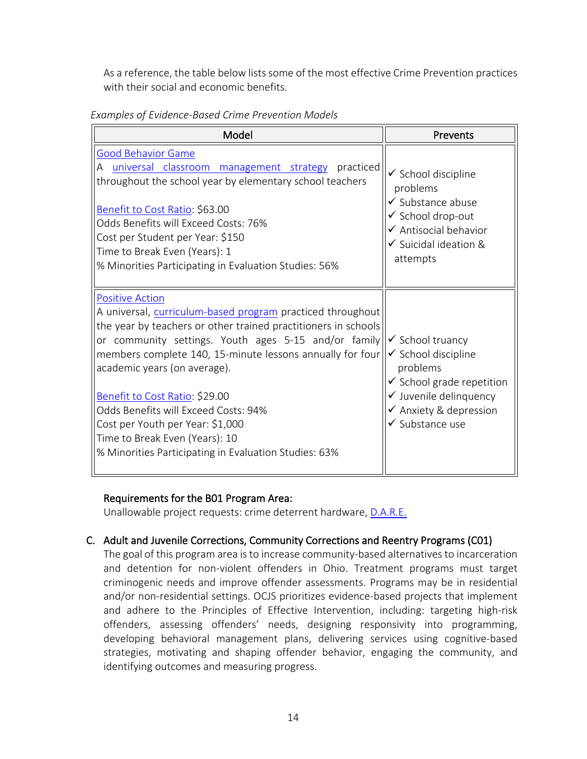As a reference, the table below lists some of the most effective Crime Prevention practices with their social and economic benefits.

| Examples of Evidence-Based Crime Prevention Models |
|----------------------------------------------------|
|----------------------------------------------------|

| Model                                                                                                                                                                                                                                                                                                                                                                                                                                                                                                                | Prevents                                                                                                                                                                                            |
|----------------------------------------------------------------------------------------------------------------------------------------------------------------------------------------------------------------------------------------------------------------------------------------------------------------------------------------------------------------------------------------------------------------------------------------------------------------------------------------------------------------------|-----------------------------------------------------------------------------------------------------------------------------------------------------------------------------------------------------|
| Good Behavior Game<br>A universal classroom management strategy practiced<br>throughout the school year by elementary school teachers<br>Benefit to Cost Ratio: \$63.00<br>Odds Benefits will Exceed Costs: 76%<br>Cost per Student per Year: \$150<br>Time to Break Even (Years): 1<br>% Minorities Participating in Evaluation Studies: 56%                                                                                                                                                                        | $\checkmark$ School discipline<br>problems<br>✔ Substance abuse<br>✔ School drop-out<br>✔ Antisocial behavior<br>✔ Suicidal ideation &<br>attempts                                                  |
| <b>Positive Action</b><br>A universal, curriculum-based program practiced throughout<br>the year by teachers or other trained practitioners in schools<br>or community settings. Youth ages 5-15 and/or family<br>members complete 140, 15-minute lessons annually for four<br>academic years (on average).<br>Benefit to Cost Ratio: \$29.00<br>Odds Benefits will Exceed Costs: 94%<br>Cost per Youth per Year: \$1,000<br>Time to Break Even (Years): 10<br>% Minorities Participating in Evaluation Studies: 63% | ✔ School truancy<br>$\checkmark$ School discipline<br>problems<br>$\checkmark$ School grade repetition<br>$\checkmark$ Juvenile delinquency<br>$\checkmark$ Anxiety & depression<br>✔ Substance use |

#### Requirements for the B01 Program Area:

Unallowable project requests: crime deterrent hardware, [D.A.R.E.](http://www.wsipp.wa.gov/BenefitCost/Program/407)

#### C. Adult and Juvenile Corrections, Community Corrections and Reentry Programs (C01)

The goal of this program area is to increase community-based alternatives to incarceration and detention for non-violent offenders in Ohio. Treatment programs must target criminogenic needs and improve offender assessments. Programs may be in residential and/or non-residential settings. OCJS prioritizes evidence-based projects that implement and adhere to the Principles of Effective Intervention, including: targeting high-risk offenders, assessing offenders' needs, designing responsivity into programming, developing behavioral management plans, delivering services using cognitive-based strategies, motivating and shaping offender behavior, engaging the community, and identifying outcomes and measuring progress.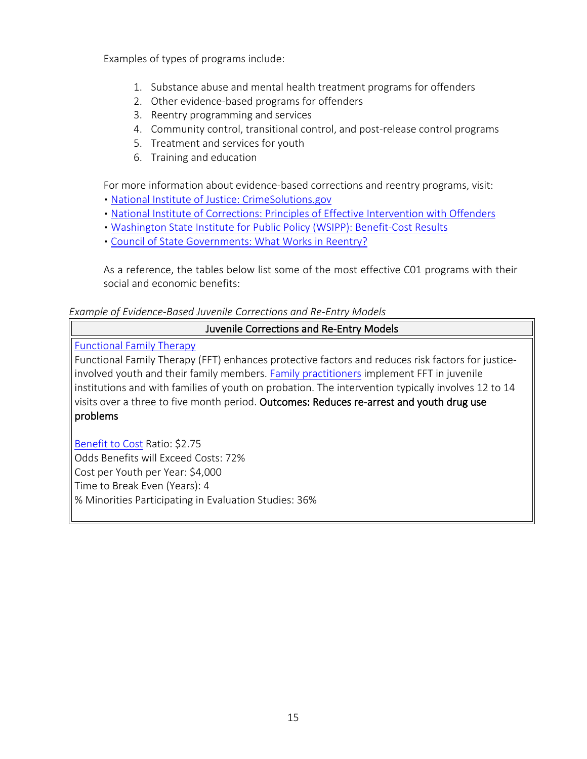Examples of types of programs include:

- 1. Substance abuse and mental health treatment programs for offenders
- 2. Other evidence-based programs for offenders
- 3. Reentry programming and services
- 4. Community control, transitional control, and post-release control programs
- 5. Treatment and services for youth
- 6. Training and education

For more information about evidence-based corrections and reentry programs, visit:

- [National Institute of Justice: CrimeSolutions.gov](https://crimesolutions.ojp.gov/)
- [National Institute of Corrections: Principles of Effective Intervention with Offenders](http://nicic.gov/theprinciplesofeffectiveinterventions)
- [Washington State Institute for Public Policy \(WSIPP\): Benefit-Cost Results](http://www.wsipp.wa.gov/BenefitCost?topicId=2)
- [Council of State Governments: What Works in Reentry?](http://whatworks.csgjusticecenter.org/)

As a reference, the tables below list some of the most effective C01 programs with their social and economic benefits:

#### *Example of Evidence-Based Juvenile Corrections and Re-Entry Models*

# Juvenile Corrections and Re-Entry Models

[Functional Family Therapy](http://www.crimesolutions.gov/ProgramDetails.aspx?ID=122)

Functional Family Therapy (FFT) enhances protective factors and reduces risk factors for justiceinvolved youth and their family members. [Family practitioners](http://www.fftllc.com/about-fft-training/implementing-fft.html) implement FFT in juvenile institutions and with families of youth on probation. The intervention typically involves 12 to 14 visits over a three to five month period. Outcomes: Reduces re-arrest and youth drug use problems

[Benefit to Cost](http://www.wsipp.wa.gov/BenefitCost/Program/32) Ratio: \$2.75 Odds Benefits will Exceed Costs: 72% Cost per Youth per Year: \$4,000 Time to Break Even (Years): 4 % Minorities Participating in Evaluation Studies: 36%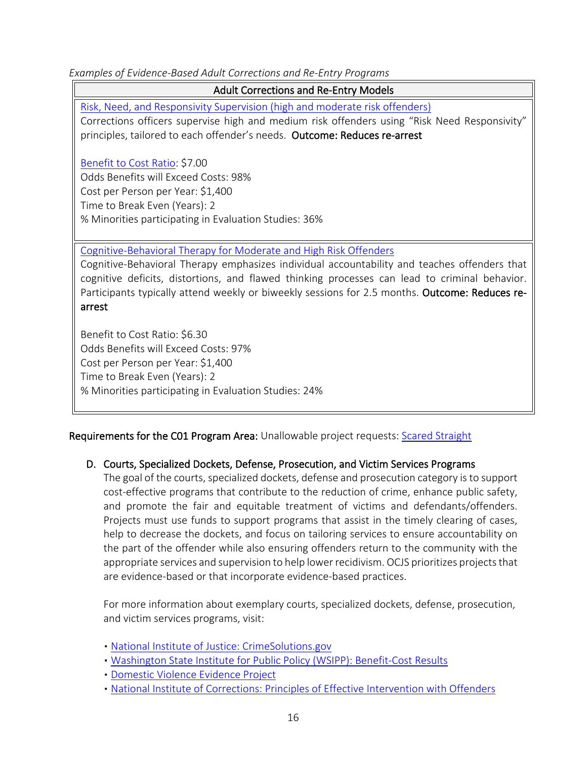*Examples of Evidence-Based Adult Corrections and Re-Entry Programs*

Adult Corrections and Re-Entry Models

[Risk, Need, and Responsivity Supervision \(high and moderate risk offenders\)](http://www.wsipp.wa.gov/BenefitCost/Program/157) Corrections officers supervise high and medium risk offenders using "Risk Need Responsivity" principles, tailored to each offender's needs. Outcome: Reduces re-arrest

[Benefit to Cost Ratio:](http://www.wsipp.wa.gov/BenefitCost/Program/157) \$7.00 Odds Benefits will Exceed Costs: 98% Cost per Person per Year: \$1,400 Time to Break Even (Years): 2 % Minorities participating in Evaluation Studies: 36%

[Cognitive-Behavioral Therapy for Moderate and High Risk Offenders](http://www.wsipp.wa.gov/BenefitCost/Program/10)

Cognitive-Behavioral Therapy emphasizes individual accountability and teaches offenders that cognitive deficits, distortions, and flawed thinking processes can lead to criminal behavior. Participants typically attend weekly or biweekly sessions for 2.5 months. Outcome: Reduces rearrest

Benefit to Cost Ratio: \$6.30 Odds Benefits will Exceed Costs: 97% Cost per Person per Year: \$1,400 Time to Break Even (Years): 2 % Minorities participating in Evaluation Studies: 24%

Requirements for the C01 Program Area: Unallowable project requests: [Scared Straight](https://www.crimesolutions.gov/PracticeDetails.aspx?ID=4)

# D. Courts, Specialized Dockets, Defense, Prosecution, and Victim Services Programs

The goal of the courts, specialized dockets, defense and prosecution category is to support cost-effective programs that contribute to the reduction of crime, enhance public safety, and promote the fair and equitable treatment of victims and defendants/offenders. Projects must use funds to support programs that assist in the timely clearing of cases, help to decrease the dockets, and focus on tailoring services to ensure accountability on the part of the offender while also ensuring offenders return to the community with the appropriate services and supervision to help lower recidivism. OCJS prioritizes projects that are evidence-based or that incorporate evidence-based practices.

For more information about exemplary courts, specialized dockets, defense, prosecution, and victim services programs, visit:

- [National Institute of Justice: CrimeSolutions.gov](https://crimesolutions.ojp.gov/)
- [Washington State Institute for Public Policy \(WSIPP\): Benefit-Cost Results](http://www.wsipp.wa.gov/BenefitCost)
- [Domestic Violence Evidence Project](http://www.dvevidenceproject.org/)
- [National Institute of Corrections: Principles of Effective Intervention with](http://nicic.gov/theprinciplesofeffectiveinterventions) Offenders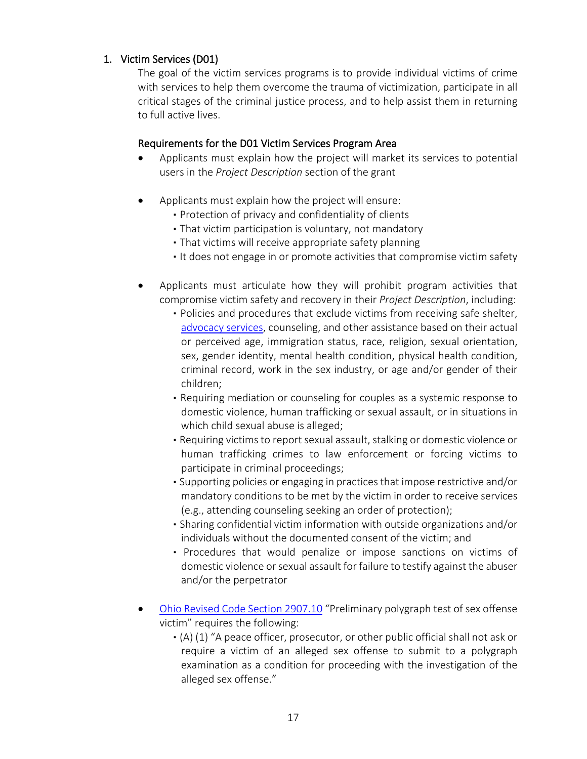# 1. Victim Services (D01)

The goal of the victim services programs is to provide individual victims of crime with services to help them overcome the trauma of victimization, participate in all critical stages of the criminal justice process, and to help assist them in returning to full active lives.

#### Requirements for the D01 Victim Services Program Area

- Applicants must explain how the project will market its services to potential users in the *Project Description* section of the grant
- Applicants must explain how the project will ensure:
	- Protection of privacy and confidentiality of clients
	- That victim participation is voluntary, not mandatory
	- That victims will receive appropriate safety planning
	- It does not engage in or promote activities that compromise victim safety
- Applicants must articulate how they will prohibit program activities that compromise victim safety and recovery in their *Project Description*, including:
	- Policies and procedures that exclude victims from receiving safe shelter, [advocacy services,](https://www.crimesolutions.gov/PracticeDetails.aspx?ID=55) counseling, and other assistance based on their actual or perceived age, immigration status, race, religion, sexual orientation, sex, gender identity, mental health condition, physical health condition, criminal record, work in the sex industry, or age and/or gender of their children;
	- Requiring mediation or counseling for couples as a systemic response to domestic violence, human trafficking or sexual assault, or in situations in which child sexual abuse is alleged;
	- Requiring victims to report sexual assault, stalking or domestic violence or human trafficking crimes to law enforcement or forcing victims to participate in criminal proceedings;
	- Supporting policies or engaging in practices that impose restrictive and/or mandatory conditions to be met by the victim in order to receive services (e.g., attending counseling seeking an order of protection);
	- Sharing confidential victim information with outside organizations and/or individuals without the documented consent of the victim; and
	- Procedures that would penalize or impose sanctions on victims of domestic violence or sexual assault for failure to testify against the abuser and/or the perpetrator
- [Ohio Revised Code Section 2907.10](http://codes.ohio.gov/orc/2907.10) "Preliminary polygraph test of sex offense victim" requires the following:
	- (A) (1) "A peace officer, prosecutor, or other public official shall not ask or require a victim of an alleged sex offense to submit to a polygraph examination as a condition for proceeding with the investigation of the alleged sex offense."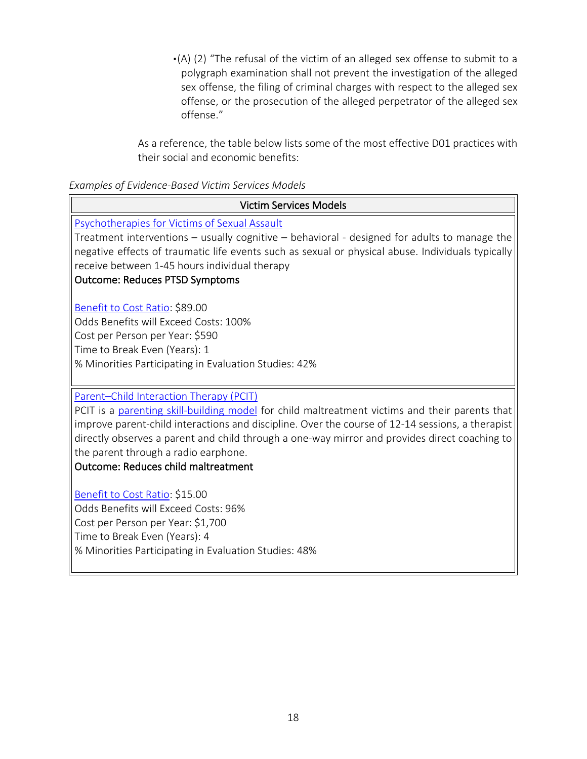▪(A) (2) "The refusal of the victim of an alleged sex offense to submit to a polygraph examination shall not prevent the investigation of the alleged sex offense, the filing of criminal charges with respect to the alleged sex offense, or the prosecution of the alleged perpetrator of the alleged sex offense."

As a reference, the table below lists some of the most effective D01 practices with their social and economic benefits:

#### *Examples of Evidence-Based Victim Services Models*

| <b>Victim Services Models</b>                                                                     |
|---------------------------------------------------------------------------------------------------|
| Psychotherapies for Victims of Sexual Assault                                                     |
| Treatment interventions - usually cognitive - behavioral - designed for adults to manage the      |
| negative effects of traumatic life events such as sexual or physical abuse. Individuals typically |
| receive between 1-45 hours individual therapy                                                     |
| <b>Outcome: Reduces PTSD Symptoms</b>                                                             |
| Benefit to Cost Ratio: \$89.00                                                                    |
| Odds Benefits will Exceed Costs: 100%                                                             |
| Cost per Person per Year: \$590                                                                   |
| Time to Break Even (Years): 1                                                                     |
| % Minorities Participating in Evaluation Studies: 42%                                             |
|                                                                                                   |
| Parent-Child Interaction Therapy (PCIT)                                                           |
| PCIT is a parenting skill-building model for child maltreatment victims and their parents that    |
| improve parent-child interactions and discipline. Over the course of 12-14 sessions, a therapist  |
| directly observes a parent and child through a one-way mirror and provides direct coaching to     |
| the parent through a radio earphone.                                                              |
| <b>Outcome: Reduces child maltreatment</b>                                                        |
| Benefit to Cost Ratio: \$15.00                                                                    |
| Odds Benefits will Exceed Costs: 96%                                                              |
| Cost per Person per Year: \$1,700                                                                 |
| Time to Break Even (Years): 4                                                                     |
| % Minorities Participating in Evaluation Studies: 48%                                             |
|                                                                                                   |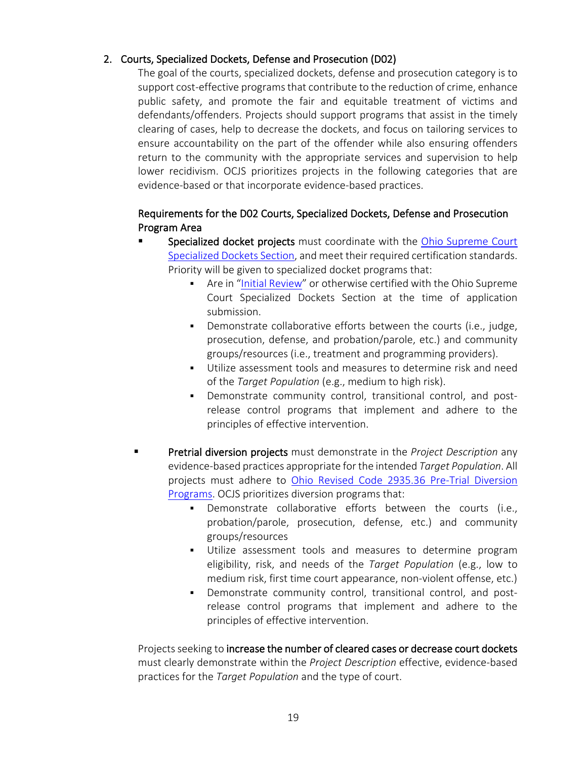# 2. Courts, Specialized Dockets, Defense and Prosecution (D02)

The goal of the courts, specialized dockets, defense and prosecution category is to support cost-effective programs that contribute to the reduction of crime, enhance public safety, and promote the fair and equitable treatment of victims and defendants/offenders. Projects should support programs that assist in the timely clearing of cases, help to decrease the dockets, and focus on tailoring services to ensure accountability on the part of the offender while also ensuring offenders return to the community with the appropriate services and supervision to help lower recidivism. OCJS prioritizes projects in the following categories that are evidence-based or that incorporate evidence-based practices.

# Requirements for the D02 Courts, Specialized Dockets, Defense and Prosecution Program Area

- Specialized docket projects must coordinate with the Ohio Supreme Court [Specialized Dockets Section,](https://www.supremecourt.ohio.gov/JCS/specDockets) and meet their required certification standards. Priority will be given to specialized docket programs that:
	- Are in ["Initial Review"](https://www.supremecourt.ohio.gov/JCS/specDockets/certification/certificationPath.pdf) or otherwise certified with the Ohio Supreme Court Specialized Dockets Section at the time of application submission.
	- Demonstrate collaborative efforts between the courts (i.e., judge, prosecution, defense, and probation/parole, etc.) and community groups/resources (i.e., treatment and programming providers).
	- Utilize assessment tools and measures to determine risk and need of the *Target Population* (e.g., medium to high risk).
	- Demonstrate community control, transitional control, and postrelease control programs that implement and adhere to the principles of effective intervention.
- Pretrial diversion projects must demonstrate in the *Project Description* any evidence-based practices appropriate for the intended *Target Population*. All projects must adhere to [Ohio Revised Code 2935.36 Pre-Trial Diversion](http://codes.ohio.gov/orc/2935.36)  [Programs.](http://codes.ohio.gov/orc/2935.36) OCJS prioritizes diversion programs that:
	- Demonstrate collaborative efforts between the courts (i.e., probation/parole, prosecution, defense, etc.) and community groups/resources
	- Utilize assessment tools and measures to determine program eligibility, risk, and needs of the *Target Population* (e.g., low to medium risk, first time court appearance, non-violent offense, etc.)
	- Demonstrate community control, transitional control, and postrelease control programs that implement and adhere to the principles of effective intervention.

Projects seeking to increase the number of cleared cases or decrease court dockets must clearly demonstrate within the *Project Description* effective, evidence-based practices for the *Target Population* and the type of court.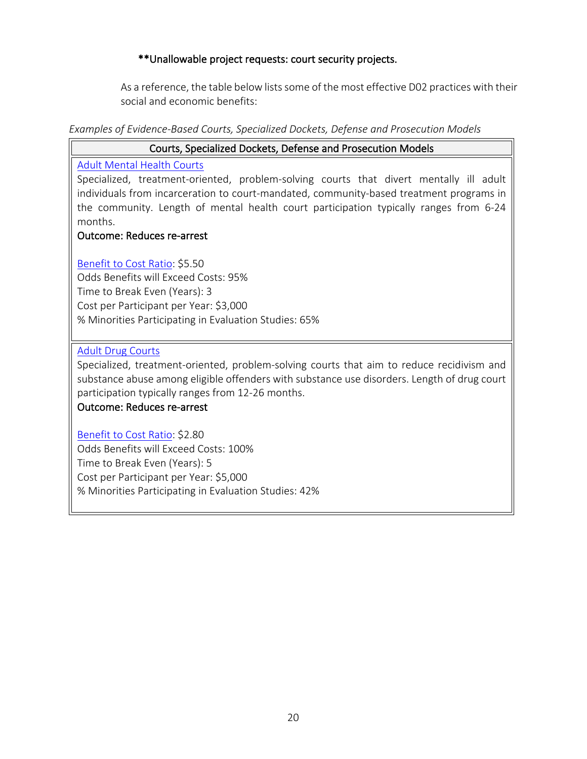# \*\*Unallowable project requests: court security projects.

As a reference, the table below lists some of the most effective D02 practices with their social and economic benefits:

#### *Examples of Evidence-Based Courts, Specialized Dockets, Defense and Prosecution Models*

# Courts, Specialized Dockets, Defense and Prosecution Models [Adult Mental Health Courts](https://crimesolutions.ojp.gov/ratedpractices/34) Specialized, treatment-oriented, problem-solving courts that divert mentally ill adult individuals from incarceration to court-mandated, community-based treatment programs in the community. Length of mental health court participation typically ranges from 6-24 months. Outcome: Reduces re-arrest [Benefit to Cost Ratio:](http://www.wsipp.wa.gov/BenefitCost/Program/52) \$5.50 Odds Benefits will Exceed Costs: 95% Time to Break Even (Years): 3 Cost per Participant per Year: \$3,000 % Minorities Participating in Evaluation Studies: 65%

#### [Adult Drug Courts](https://crimesolutions.ojp.gov/ratedpractices/7)

Specialized, treatment-oriented, problem-solving courts that aim to reduce recidivism and substance abuse among eligible offenders with substance use disorders. Length of drug court participation typically ranges from 12-26 months.

# Outcome: Reduces re-arrest

[Benefit to Cost Ratio:](http://www.wsipp.wa.gov/BenefitCost/Program/14) \$2.80 Odds Benefits will Exceed Costs: 100% Time to Break Even (Years): 5 Cost per Participant per Year: \$5,000 % Minorities Participating in Evaluation Studies: 42%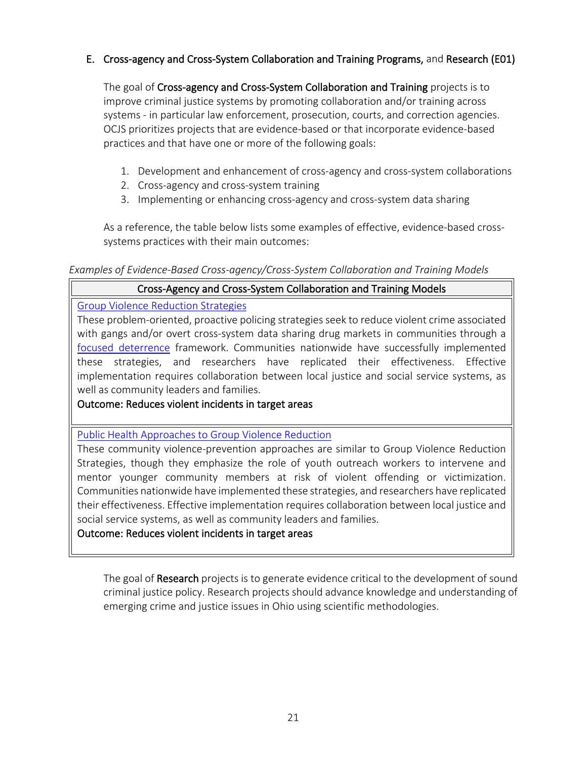# E. Cross-agency and Cross-System Collaboration and Training Programs, and Research (E01)

The goal of Cross-agency and Cross-System Collaboration and Training projects is to improve criminal justice systems by promoting collaboration and/or training across systems - in particular law enforcement, prosecution, courts, and correction agencies. OCJS prioritizes projects that are evidence-based or that incorporate evidence-based practices and that have one or more of the following goals:

- 1. Development and enhancement of cross-agency and cross-system collaborations
- 2. Cross-agency and cross-system training
- 3. Implementing or enhancing cross-agency and cross-system data sharing

As a reference, the table below lists some examples of effective, evidence-based crosssystems practices with their main outcomes:

#### *Examples of Evidence-Based Cross-agency/Cross-System Collaboration and Training Models*

# Cross-Agency and Cross-System Collaboration and Training Models

#### [Group Violence Reduction Strategies](https://www.crimesolutions.gov/ProgramDetails.aspx?ID=207)

These problem-oriented, proactive policing strategies seek to reduce violent crime associated with gangs and/or overt cross-system data sharing drug markets in communities through a [focused deterrence](https://www.crimesolutions.gov/PracticeDetails.aspx?ID=11) framework. Communities nationwide have successfully implemented these strategies, and researchers have replicated their effectiveness. Effective implementation requires collaboration between local justice and social service systems, as well as community leaders and families.

# Outcome: Reduces violent incidents in target areas

[Public Health Approaches to Group Violence Reduction](https://crimesolutions.ojp.gov/ratedprograms/205#relatedpractices)

These community violence-prevention approaches are similar to Group Violence Reduction Strategies, though they emphasize the role of youth outreach workers to intervene and mentor younger community members at risk of violent offending or victimization. Communities nationwide have implemented these strategies, and researchers have replicated their effectiveness. Effective implementation requires collaboration between local justice and social service systems, as well as community leaders and families.

# Outcome: Reduces violent incidents in target areas

The goal of Research projects is to generate evidence critical to the development of sound criminal justice policy. Research projects should advance knowledge and understanding of emerging crime and justice issues in Ohio using scientific methodologies.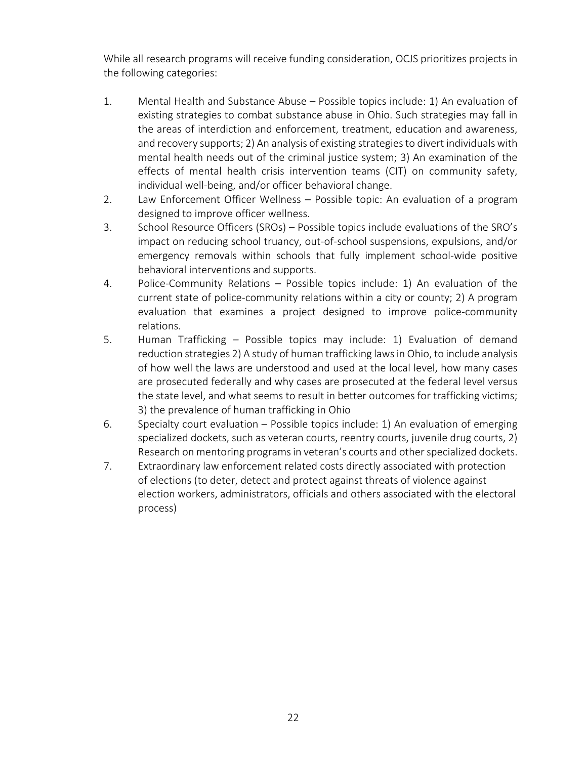While all research programs will receive funding consideration, OCJS prioritizes projects in the following categories:

- 1. Mental Health and Substance Abuse Possible topics include: 1) An evaluation of existing strategies to combat substance abuse in Ohio. Such strategies may fall in the areas of interdiction and enforcement, treatment, education and awareness, and recovery supports; 2) An analysis of existing strategies to divert individuals with mental health needs out of the criminal justice system; 3) An examination of the effects of mental health crisis intervention teams (CIT) on community safety, individual well-being, and/or officer behavioral change.
- 2. Law Enforcement Officer Wellness Possible topic: An evaluation of a program designed to improve officer wellness.
- 3. School Resource Officers (SROs) Possible topics include evaluations of the SRO's impact on reducing school truancy, out-of-school suspensions, expulsions, and/or emergency removals within schools that fully implement school-wide positive behavioral interventions and supports.
- 4. Police-Community Relations Possible topics include: 1) An evaluation of the current state of police-community relations within a city or county; 2) A program evaluation that examines a project designed to improve police-community relations.
- 5. Human Trafficking Possible topics may include: 1) Evaluation of demand reduction strategies 2) A study of human trafficking laws in Ohio, to include analysis of how well the laws are understood and used at the local level, how many cases are prosecuted federally and why cases are prosecuted at the federal level versus the state level, and what seems to result in better outcomes for trafficking victims; 3) the prevalence of human trafficking in Ohio
- 6. Specialty court evaluation Possible topics include: 1) An evaluation of emerging specialized dockets, such as veteran courts, reentry courts, juvenile drug courts, 2) Research on mentoring programs in veteran's courts and other specialized dockets.
- 7. Extraordinary law enforcement related costs directly associated with protection of elections (to deter, detect and protect against threats of violence against election workers, administrators, officials and others associated with the electoral process)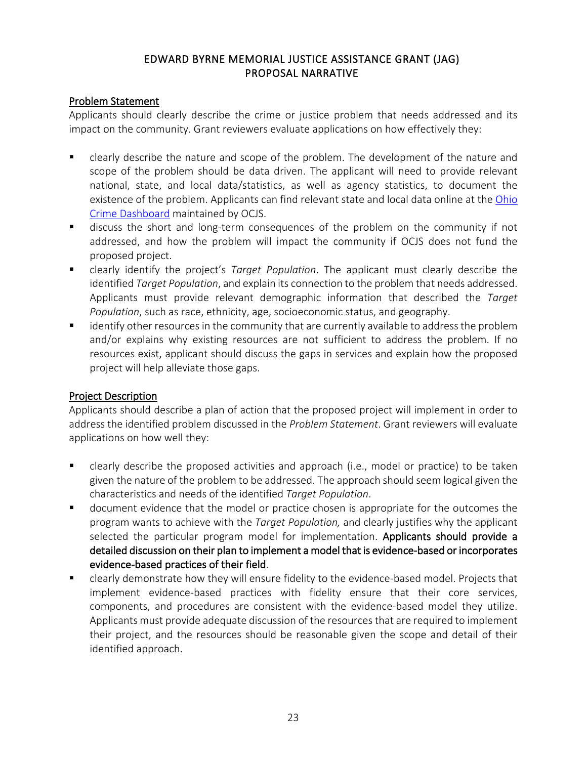# EDWARD BYRNE MEMORIAL JUSTICE ASSISTANCE GRANT (JAG) PROPOSAL NARRATIVE

#### Problem Statement

Applicants should clearly describe the crime or justice problem that needs addressed and its impact on the community. Grant reviewers evaluate applications on how effectively they:

- clearly describe the nature and scope of the problem. The development of the nature and scope of the problem should be data driven. The applicant will need to provide relevant national, state, and local data/statistics, as well as agency statistics, to document the existence of the problem. Applicants can find relevant state and local data online at the [Ohio](https://www.ocjs.ohio.gov/v-c_crime.stm)  Crime [Dashboard](https://www.ocjs.ohio.gov/v-c_crime.stm) maintained by OCJS.
- discuss the short and long-term consequences of the problem on the community if not addressed, and how the problem will impact the community if OCJS does not fund the proposed project.
- clearly identify the project's *Target Population*. The applicant must clearly describe the identified *Target Population*, and explain its connection to the problem that needs addressed. Applicants must provide relevant demographic information that described the *Target Population*, such as race, ethnicity, age, socioeconomic status, and geography.
- identify other resources in the community that are currently available to address the problem and/or explains why existing resources are not sufficient to address the problem. If no resources exist, applicant should discuss the gaps in services and explain how the proposed project will help alleviate those gaps.

#### Project Description

Applicants should describe a plan of action that the proposed project will implement in order to address the identified problem discussed in the *Problem Statement*. Grant reviewers will evaluate applications on how well they:

- clearly describe the proposed activities and approach (i.e., model or practice) to be taken given the nature of the problem to be addressed. The approach should seem logical given the characteristics and needs of the identified *Target Population*.
- document evidence that the model or practice chosen is appropriate for the outcomes the program wants to achieve with the *Target Population,* and clearly justifies why the applicant selected the particular program model for implementation. Applicants should provide a detailed discussion on their plan to implement a model that is evidence-based or incorporates evidence-based practices of their field.
- clearly demonstrate how they will ensure [fidelity](https://www.crimesolutions.gov/GlossaryDetails.aspx?ID=42) to the evidence-based model. Projects that implement evidence-based practices with fidelity ensure that their core services, components, and procedures are consistent with the evidence-based model they utilize. Applicants must provide adequate discussion of the resources that are required to implement their project, and the resources should be reasonable given the scope and detail of their identified approach.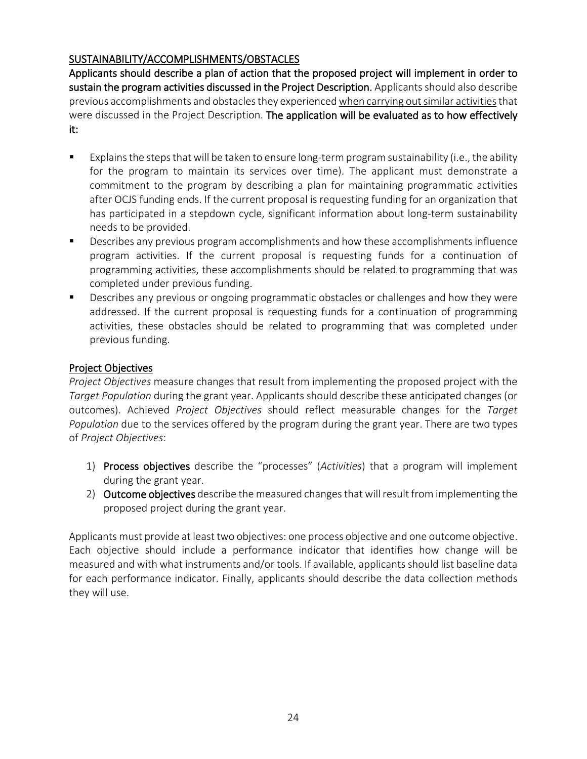# SUSTAINABILITY/ACCOMPLISHMENTS/OBSTACLES

Applicants should describe a plan of action that the proposed project will implement in order to sustain the program activities discussed in the Project Description. Applicants should also describe previous accomplishments and obstacles they experiencedwhen carrying out similar activitiesthat were discussed in the Project Description. The application will be evaluated as to how effectively it:

- Explains the steps that will be taken to ensure long-term progra[m sustainability](http://www.jrsa.org/projects/ebp_briefing_paper3.pdf) (i.e., the ability for the program to maintain its services over time). The applicant must demonstrate a commitment to the program by describing a plan for maintaining programmatic activities after OCJS funding ends. If the current proposal is requesting funding for an organization that has participated in a stepdown cycle, significant information about long-term sustainability needs to be provided.
- **Describes any previous program accomplishments and how these accomplishments influence** program activities. If the current proposal is requesting funds for a continuation of programming activities, these accomplishments should be related to programming that was completed under previous funding.
- Describes any previous or ongoing programmatic obstacles or challenges and how they were addressed. If the current proposal is requesting funds for a continuation of programming activities, these obstacles should be related to programming that was completed under previous funding.

# Project Objectives

*Project Objectives* measure changes that result from implementing the proposed project with the *Target Population* during the grant year. Applicants should describe these anticipated changes (or outcomes). Achieved *Project Objectives* should reflect measurable changes for the *Target Population* due to the services offered by the program during the grant year. There are two types of *Project Objectives*:

- 1) Process objectives describe the "processes" (*Activities*) that a program will implement during the grant year.
- 2) Outcome objectives describe the measured changes that will result from implementing the proposed project during the grant year.

Applicants must provide at least two objectives: one process objective and one outcome objective. Each objective should include a performance indicator that identifies how change will be measured and with what instruments and/or tools. If available, applicants should list baseline data for each performance indicator. Finally, applicants should describe the data collection methods they will use.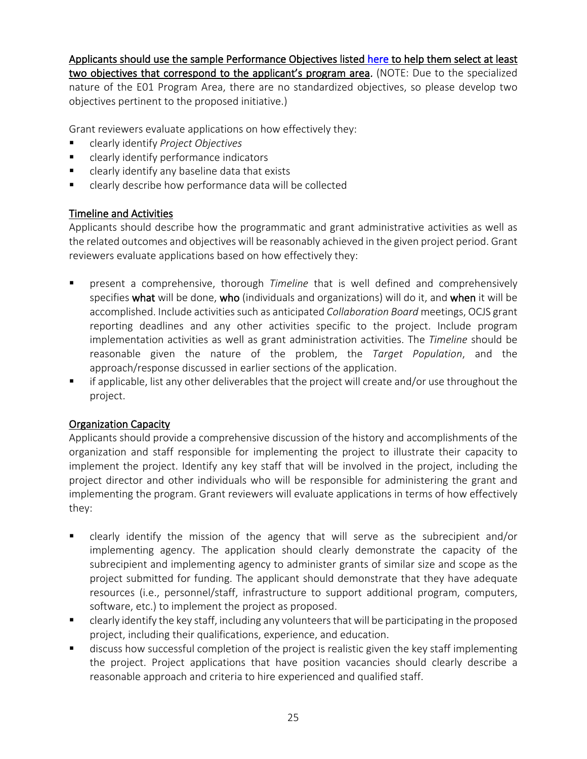Applicants should use the sample Performance Objectives listed [here](https://www.ocjs.ohio.gov/JAG.stm#gsc.tab=0) to help them select at least two objectives that correspond to the applicant's program area. (NOTE: Due to the specialized nature of the E01 Program Area, there are no standardized objectives, so please develop two objectives pertinent to the proposed initiative.)

Grant reviewers evaluate applications on how effectively they:

- clearly identify *Project Objectives*
- clearly identify performance indicators
- clearly identify any baseline data that exists
- clearly describe how performance data will be collected

# Timeline and Activities

Applicants should describe how the programmatic and grant administrative activities as well as the related outcomes and objectives will be reasonably achieved in the given project period. Grant reviewers evaluate applications based on how effectively they:

- present a comprehensive, thorough *Timeline* that is well defined and comprehensively specifies what will be done, who (individuals and organizations) will do it, and when it will be accomplished. Include activities such as anticipated *Collaboration Board* meetings, OCJS grant reporting deadlines and any other activities specific to the project. Include program implementation activities as well as grant administration activities. The *Timeline* should be reasonable given the nature of the problem, the *Target Population*, and the approach/response discussed in earlier sections of the application.
- if applicable, list any other deliverables that the project will create and/or use throughout the project.

# Organization Capacity

Applicants should provide a comprehensive discussion of the history and accomplishments of the organization and staff responsible for implementing the project to illustrate their capacity to implement the project. Identify any key staff that will be involved in the project, including the project director and other individuals who will be responsible for administering the grant and implementing the program. Grant reviewers will evaluate applications in terms of how effectively they:

- clearly identify the mission of the agency that will serve as the subrecipient and/or implementing agency. The application should clearly demonstrate the capacity of the subrecipient and implementing agency to administer grants of similar size and scope as the project submitted for funding. The applicant should demonstrate that they have adequate resources (i.e., personnel/staff, infrastructure to support additional program, computers, software, etc.) to implement the project as proposed.
- clearly identify the key staff, including any volunteers that will be participating in the proposed project, including their qualifications, experience, and education.
- discuss how successful completion of the project is realistic given the key staff implementing the project. Project applications that have position vacancies should clearly describe a reasonable approach and criteria to hire experienced and qualified staff.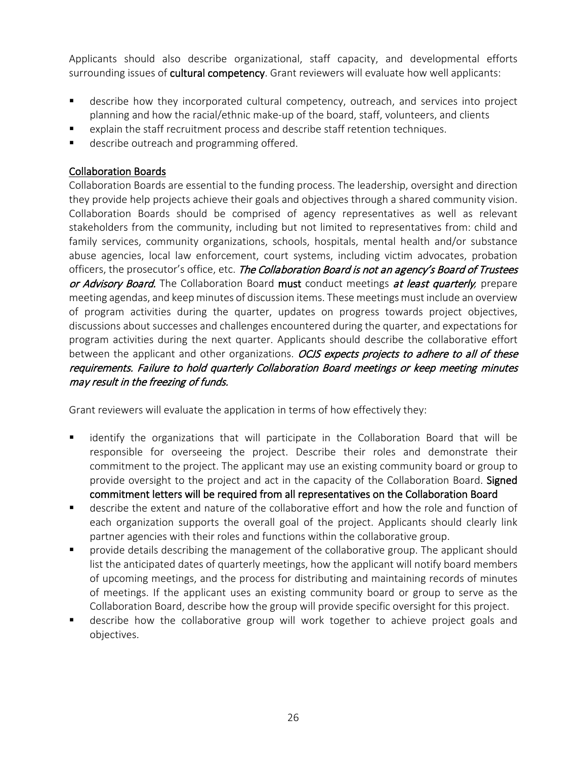Applicants should also describe organizational, staff capacity, and developmental efforts surrounding issues of cultural competency. Grant reviewers will evaluate how well applicants:

- describe how they incorporated cultural competency, outreach, and services into project planning and how the racial/ethnic make-up of the board, staff, volunteers, and clients
- explain the staff recruitment process and describe staff retention techniques.
- **describe outreach and programming offered.**

# Collaboration Boards

Collaboration Boards are essential to the funding process. The leadership, oversight and direction they provide help projects achieve their goals and objectives through a shared community vision. Collaboration Boards should be comprised of agency representatives as well as relevant stakeholders from the community, including but not limited to representatives from: child and family services, community organizations, schools, hospitals, mental health and/or substance abuse agencies, local law enforcement, court systems, including victim advocates, probation officers, the prosecutor's office, etc. The Collaboration Board is not an agency's Board of Trustees or Advisory Board. The Collaboration Board must conduct meetings at least quarterly, prepare meeting agendas, and keep minutes of discussion items. These meetings must include an overview of program activities during the quarter, updates on progress towards project objectives, discussions about successes and challenges encountered during the quarter, and expectations for program activities during the next quarter. Applicants should describe the collaborative effort between the applicant and other organizations. *OCJS expects projects to adhere to all of these* requirements. Failure to hold quarterly Collaboration Board meetings or keep meeting minutes may result in the freezing of funds.

Grant reviewers will evaluate the application in terms of how effectively they:

- identify the organizations that will participate in the Collaboration Board that will be responsible for overseeing the project. Describe their roles and demonstrate their commitment to the project. The applicant may use an existing community board or group to provide oversight to the project and act in the capacity of the Collaboration Board. Signed commitment letters will be required from all representatives on the Collaboration Board
- describe the extent and nature of the collaborative effort and how the role and function of each organization supports the overall goal of the project. Applicants should clearly link partner agencies with their roles and functions within the collaborative group.
- provide details describing the management of the collaborative group. The applicant should list the anticipated dates of quarterly meetings, how the applicant will notify board members of upcoming meetings, and the process for distributing and maintaining records of minutes of meetings. If the applicant uses an existing community board or group to serve as the Collaboration Board, describe how the group will provide specific oversight for this project.
- describe how the collaborative group will work together to achieve project goals and objectives.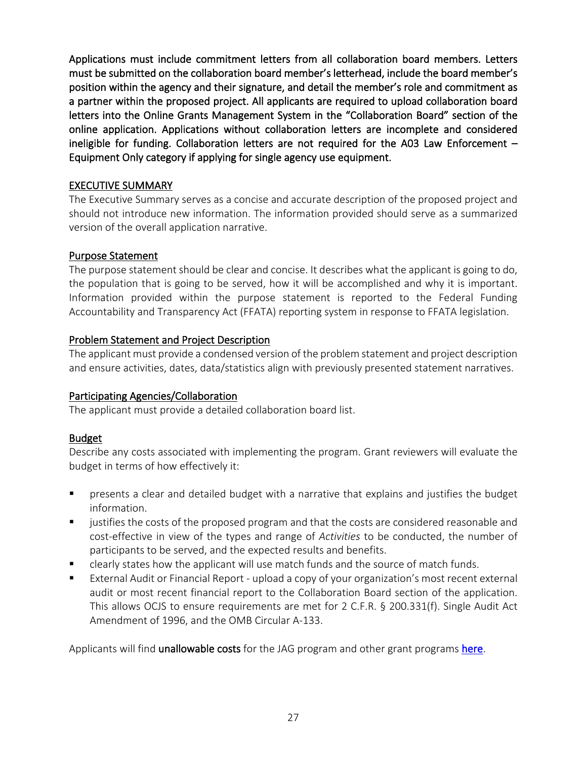Applications must include commitment letters from all collaboration board members. Letters must be submitted on the collaboration board member's letterhead, include the board member's position within the agency and their signature, and detail the member's role and commitment as a partner within the proposed project. All applicants are required to upload collaboration board letters into the Online Grants Management System in the "Collaboration Board" section of the online application. Applications without collaboration letters are incomplete and considered ineligible for funding. Collaboration letters are not required for the A03 Law Enforcement – Equipment Only category if applying for single agency use equipment.

#### EXECUTIVE SUMMARY

The Executive Summary serves as a concise and accurate description of the proposed project and should not introduce new information. The information provided should serve as a summarized version of the overall application narrative.

# Purpose Statement

The purpose statement should be clear and concise. It describes what the applicant is going to do, the population that is going to be served, how it will be accomplished and why it is important. Information provided within the purpose statement is reported to the Federal Funding Accountability and Transparency Act (FFATA) reporting system in response to FFATA legislation.

# Problem Statement and Project Description

The applicant must provide a condensed version of the problem statement and project description and ensure activities, dates, data/statistics align with previously presented statement narratives.

# Participating Agencies/Collaboration

The applicant must provide a detailed collaboration board list.

# Budget

Describe any costs associated with implementing the program. Grant reviewers will evaluate the budget in terms of how effectively it:

- **•** presents a clear and detailed budget with a narrative that explains and justifies the budget information.
- justifies the costs of the proposed program and that the costs are considered reasonable and cost-effective in view of the types and range of *Activities* to be conducted, the number of participants to be served, and the expected results and benefits.
- **EXTER** clearly states how the applicant will use match funds and the source of match funds.
- External Audit or Financial Report upload a copy of your organization's most recent external audit or most recent financial report to the Collaboration Board section of the application. This allows OCJS to ensure requirements are met for 2 C.F.R. § 200.331(f). Single Audit Act Amendment of 1996, and the OMB Circular A-133.

Applicants will find **unallowable costs** for the JAG program and other grant programs [here.](http://www.ocjs.ohio.gov/ocjs_grants_unallowable_costs.pdf)